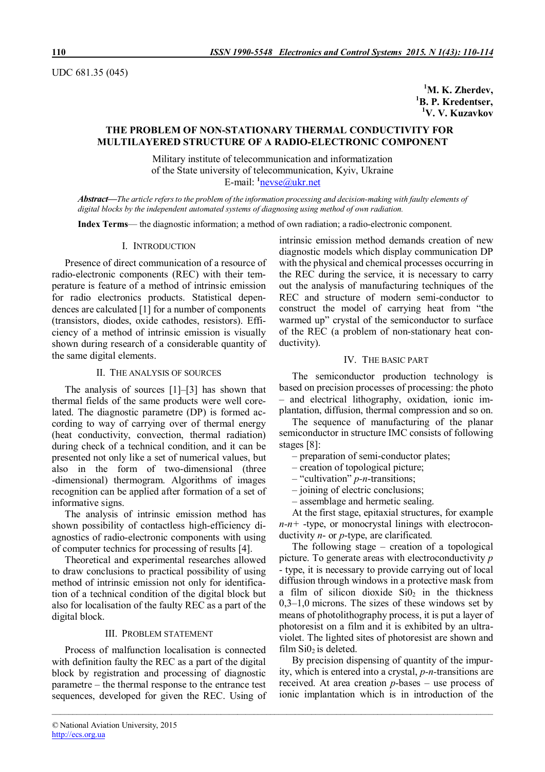UDC 681.35 (045)

**<sup>1</sup>M. K. Zherdev, <sup>1</sup>B. P. Kredentser, <sup>1</sup>V. V. Kuzavkov** 

# **THE PROBLEM OF NON-STATIONARY THERMAL CONDUCTIVITY FOR MULTILAYERED STRUCTURE OF A RADIO-ELECTRONIC COMPONENT**

Military institute of telecommunication and informatization of the State university of telecommunication, Kyiv, Ukraine E-mail: **<sup>1</sup>** nevse@ukr.net

*Abstract***—***The article refers to the problem of the information processing and decision-making with faulty elements of digital blocks by the independent automated systems of diagnosing using method of own radiation.*

*\_\_\_\_\_\_\_\_\_\_\_\_\_\_\_\_\_\_\_\_\_\_\_\_\_\_\_\_\_\_\_\_\_\_\_\_\_\_\_\_\_\_\_\_\_\_\_\_\_\_\_\_\_\_\_\_\_\_\_\_\_\_\_\_\_\_\_\_\_\_\_\_\_\_\_\_\_\_\_\_\_\_\_\_\_\_\_\_\_\_\_\_\_\_\_\_\_\_\_\_\_\_\_\_\_\_\_*

**Index Terms**— the diagnostic information; a method of own radiation; a radio-electronic component.

### I. INTRODUCTION

Presence of direct communication of a resource of radio-electronic components (REC) with their temperature is feature of a method of intrinsic emission for radio electronics products. Statistical dependences are calculated [1] for a number of components (transistors, diodes, oxide cathodes, resistors). Efficiency of a method of intrinsic emission is visually shown during research of a considerable quantity of the same digital elements.

#### IІ. THE ANALYSIS OF SOURCES

The analysis of sources [1]–[3] has shown that thermal fields of the same products were well corelated. The diagnostic parametre (DP) is formed according to way of carrying over of thermal energy (heat conductivity, convection, thermal radiation) during check of a technical condition, and it can be presented not only like a set of numerical values, but also in the form of two-dimensional (three -dimensional) thermogram. Algorithms of images recognition can be applied after formation of a set of informative signs.

The analysis of intrinsic emission method has shown possibility of contactless high-efficiency diagnostics of radio-electronic components with using of computer technics for processing of results [4].

Theoretical and experimental researches allowed to draw conclusions to practical possibility of using method of intrinsic emission not only for identification of a technical condition of the digital block but also for localisation of the faulty REC as a part of the digital block.

# III. PROBLEM STATEMENT

Process of malfunction localisation is connected with definition faulty the REC as a part of the digital block by registration and processing of diagnostic parametre – the thermal response to the entrance test sequences, developed for given the REC. Using of

intrinsic emission method demands creation of new diagnostic models which display communication DP with the physical and chemical processes occurring in the REC during the service, it is necessary to carry out the analysis of manufacturing techniques of the REC and structure of modern semi-conductor to construct the model of carrying heat from "the warmed up" crystal of the semiconductor to surface of the REC (a problem of non-stationary heat conductivity).

### IV. THE BASIC PART

The semiconductor production technology is based on precision processes of processing: the photo – and electrical lithography, oxidation, ionic implantation, diffusion, thermal compression and so on.

The sequence of manufacturing of the planar semiconductor in structure IMC consists of following stages [8]:

- preparation of semi-conductor plates;
- creation of topological picture;
- "cultivation" *р-п*-transitions;
- joining of electric conclusions;
- assemblage and hermetic sealing.

At the first stage, epitaxial structures, for example *п-п+* -type, or monocrystal linings with electroconductivity *n*- or *р*-type, are clarificated.

The following stage – creation of a topological picture. To generate areas with electroconductivity *р* - type, it is necessary to provide carrying out of local diffusion through windows in a protective mask from a film of silicon dioxide  $SiO<sub>2</sub>$  in the thickness 0,3–1,0 microns. The sizes of these windows set by means of photolithography process, it is put a layer of photoresist on a film and it is exhibited by an ultraviolet. The lighted sites of photoresist are shown and  $film SiO<sub>2</sub> is deleted.$ 

By precision dispensing of quantity of the impurity, which is entered into a crystal, *р-п-*transitions are received. At area creation *р*-bases – use process of ionic implantation which is in introduction of the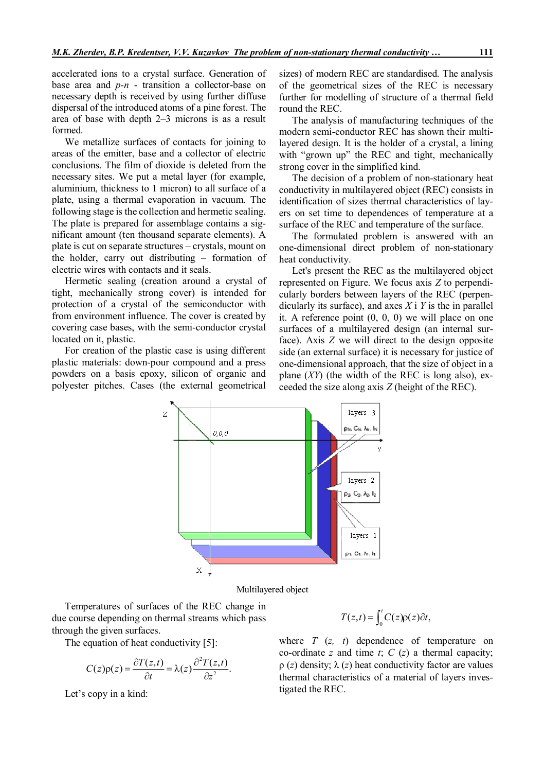accelerated ions to a crystal surface. Generation of base area and *р-п* - transition a collector-base on necessary depth is received by using further diffuse dispersal of the introduced atoms of a pine forest. The area of base with depth 2–3 microns is as a result formed.

We metallize surfaces of contacts for joining to areas of the emitter, base and a collector of electric conclusions. The film of dioxide is deleted from the necessary sites. We put a metal layer (for example, aluminium, thickness to 1 micron) to all surface of a plate, using a thermal evaporation in vacuum. The following stage is the collection and hermetic sealing. The plate is prepared for assemblage contains a significant amount (ten thousand separate elements). A plate is cut on separate structures – crystals, mount on the holder, carry out distributing – formation of electric wires with contacts and it seals.

Hermetic sealing (creation around a crystal of tight, mechanically strong cover) is intended for protection of a crystal of the semiconductor with from environment influence. The cover is created by covering case bases, with the semi-conductor crystal located on it, plastic.

For creation of the plastic case is using different plastic materials: down-pour compound and a press powders on a basis epoxy, silicon of organic and polyester pitches. Cases (the external geometrical sizes) of modern REC are standardised. The analysis of the geometrical sizes of the REC is necessary further for modelling of structure of a thermal field round the REC.

The analysis of manufacturing techniques of the modern semi-conductor REC has shown their multilayered design. It is the holder of a crystal, a lining with "grown up" the REC and tight, mechanically strong cover in the simplified kind.

The decision of a problem of non-stationary heat conductivity in multilayered object (REC) consists in identification of sizes thermal characteristics of layers on set time to dependences of temperature at a surface of the REC and temperature of the surface.

The formulated problem is answered with an one-dimensional direct problem of non-stationary heat conductivity.

Let's present the REC as the multilayered object represented on Figure. We focus axis *Z* to perpendicularly borders between layers of the REC (perpendicularly its surface), and axes *X* і *Y* is the in parallel it. A reference point  $(0, 0, 0)$  we will place on one surfaces of a multilayered design (an internal surface). Axis *Z* we will direct to the design opposite side (an external surface) it is necessary for justice of one-dimensional approach, that the size of object in a plane (*XY*) (the width of the REC is long also), exceeded the size along axis *Z* (height of the REC).



Multilayered object

Temperatures of surfaces of the REC change in due course depending on thermal streams which pass through the given surfaces.

The equation of heat conductivity [5]:

$$
C(z)\rho(z) = \frac{\partial T(z,t)}{\partial t} = \lambda(z)\frac{\partial^2 T(z,t)}{\partial z^2}.
$$

Let's copy in a kind:

$$
T(z,t) = \int_0^t C(z) \rho(z) \partial t,
$$

where  $T(z, t)$  dependence of temperature on co-ordinate *z* and time  $t$ ;  $C(z)$  a thermal capacity;  $\rho$  (*z*) density;  $\lambda$  (*z*) heat conductivity factor are values thermal characteristics of a material of layers investigated the REC.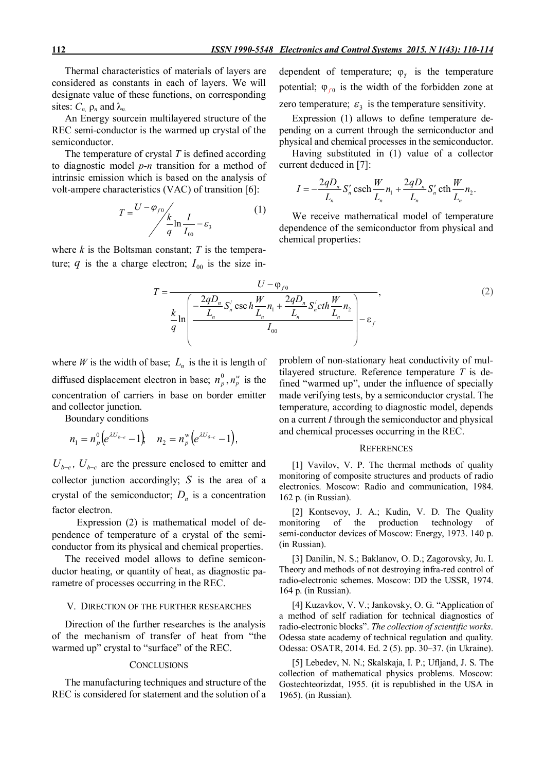Thermal characteristics of materials of layers are considered as constants in each of layers. We will designate value of these functions, on corresponding sites:  $C_n$ ,  $\rho_n$  and  $\lambda_n$ .

An Energy sourcein multilayered structure of the REC semi-conductor is the warmed up crystal of the semiconductor.

The temperature of crystal *Т* is defined according to diagnostic model *р*-*п* transition for a method of intrinsic emission which is based on the analysis of volt-ampere characteristics (VAC) of transition [6]:

$$
T = \frac{U - \varphi_{f0}}{\sqrt{\frac{k}{q}} \ln \frac{I}{I_{00}} - \varepsilon_3}
$$
 (1)

where  $k$  is the Boltsman constant;  $T$  is the temperature; *q* is the a charge electron;  $I_{00}$  is the size independent of temperature;  $\varphi_T$  is the temperature potential;  $\varphi_{f0}$  is the width of the forbidden zone at zero temperature;  $\varepsilon_3$  is the temperature sensitivity.

Expression (1) allows to define temperature depending on a current through the semiconductor and physical and chemical processes in the semiconductor.

Having substituted in (1) value of a collector current deduced in [7]:

$$
I = -\frac{2qD_n}{L_n} S'_n \operatorname{csch} \frac{W}{L_n} n_1 + \frac{2qD_n}{L_n} S'_n \operatorname{cth} \frac{W}{L_n} n_2.
$$

We receive mathematical model of temperature dependence of the semiconductor from physical and chemical properties:

$$
T = \frac{U - \varphi_{f0}}{\frac{k}{q} \ln \left( \frac{-\frac{2qD_n}{L_n} S'_n \csc h \frac{W}{L_n} n_1 + \frac{2qD_n}{L_n} S'_n cth \frac{W}{L_n} n_2}{I_{00}} \right)}.
$$
 (2)

where *W* is the width of base;  $L_n$  is the it is length of diffused displacement electron in base;  $n_p^0$ ,  $n_p^w$  is the concentration of carriers in base on border emitter and collector junction.

Boundary conditions

$$
n_1 = n_p^0 \Big( e^{\lambda U_{b-c}} - 1 \Big), \quad n_2 = n_p^{\mathrm{w}} \Big( e^{\lambda U_{b-c}} - 1 \Big),
$$

 $U_{b-e}$ ,  $U_{b-e}$  are the pressure enclosed to emitter and collector junction accordingly; *S* is the area of a crystal of the semiconductor;  $D_n$  is a concentration factor electron.

Expression (2) is mathematical model of dependence of temperature of a crystal of the semiconductor from its physical and chemical properties.

The received model allows to define semiconductor heating, or quantity of heat, as diagnostic parametre of processes occurring in the REC.

# V. DIRECTION OF THE FURTHER RESEARCHES

Direction of the further researches is the analysis of the mechanism of transfer of heat from "the warmed up" crystal to "surface" of the REC.

#### **CONCLUSIONS**

The manufacturing techniques and structure of the REC is considered for statement and the solution of a problem of non-stationary heat conductivity of multilayered structure. Reference temperature *Т* is defined "warmed up", under the influence of specially made verifying tests, by a semiconductor crystal. The temperature, according to diagnostic model, depends on a current *І* through the semiconductor and physical and chemical processes occurring in the REC.

### **REFERENCES**

[1] Vavilov, V. P. The thermal methods of quality monitoring of composite structures and products of radio electronics. Moscow: Radio and communication, 1984. 162 p. (in Russian).

[2] Kontsevoy, J. A.; Kudin, V. D. The Quality monitoring of the production technology of semi-conductor devices of Moscow: Energy, 1973. 140 p. (in Russian).

[3] Danilin, N. S.; Baklanov, O. D.; Zagorovsky, Ju. I. Theory and methods of not destroying infra-red control of radio-electronic schemes. Moscow: DD the USSR, 1974. 164 p. (in Russian).

[4] Kuzavkov, V. V.; Jankovsky, O. G. "Application of a method of self radiation for technical diagnostics of radio-electronic blocks". *The collection of scientific works*. Odessa state academy of technical regulation and quality. Оdessa: OSATR, 2014. Ed. 2 (5). pp. 30–37. (in Ukraine).

[5] Lebedev, N. N.; Skalskaja, I. P.; Ufljand, J. S. The collection of mathematical physics problems. Moscow: Gostechteorizdat, 1955. (it is republished in the USA in 1965). (in Russian).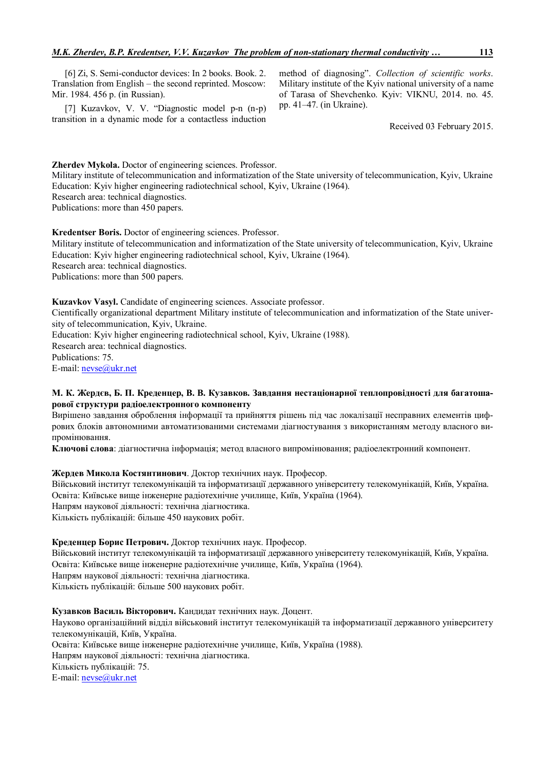[6] Zi, S. Semi-conductor devices: In 2 books. Book. 2. Translation from English – the second reprinted. Moscow: Mir. 1984. 456 p. (in Russian).

[7] Kuzavkov, V. V. "Diagnostic model р-n (n-р) transition in a dynamic mode for a contactless induction

method of diagnosing". *Collection of scientific works*. Military institute of the Kyiv national university of a name of Tarasa of Shevchenko. Kyiv: VIKNU, 2014. no. 45. pp. 41–47. (in Ukraine).

Received 03 February 2015.

**Zherdev Mykola.** Doctor of engineering sciences. Professor.

Military institute of telecommunication and informatization of the State university of telecommunication, Kyiv, Ukraine Education: Kyiv higher engineering radiotechnical school, Kyiv, Ukraine (1964).

Research area: technical diagnostics.

Publications: more than 450 papers.

**Kredentser Boris.** Doctor of engineering sciences. Professor.

Military institute of telecommunication and informatization of the State university of telecommunication, Kyiv, Ukraine Education: Kyiv higher engineering radiotechnical school, Kyiv, Ukraine (1964).

Research area: technical diagnostics.

Publications: more than 500 papers.

**Kuzavkov Vasyl.** Candidate of engineering sciences. Associate professor.

Cientifically organizational department Military institute of telecommunication and informatization of the State university of telecommunication, Kyiv, Ukraine.

Education: Kyiv higher engineering radiotechnical school, Kyiv, Ukraine (1988).

Research area: technical diagnostics.

Publications: 75.

E-mail: nevse@ukr.net

## **М. К. Жердєв, Б. П. Креденцер, В. В. Кузавков. Завдання нестаціонарної теплопровідності для багатошарової структури радіоелектронного компоненту**

Вирішено завдання оброблення інформації та прийняття рішень під час локалізації несправних елементів цифрових блоків автономними автоматизованими системами діагностування з використанням методу власного випромінювання.

**Ключові слова**: діагностична інформація; метод власного випромінювання; радіоелектронний компонент.

#### **Жердев Микола Костянтинович**. Доктор технічних наук. Професор.

Військовий інститут телекомунікацій та інформатизації державного університету телекомунікацій, Київ, Україна. Освіта: Київське вище інженерне радіотехнічне училище, Київ, Україна (1964). Напрям наукової діяльності: технічна діагностика. Кількість публікацій: більше 450 наукових робіт.

# **Креденцер Борис Петрович.** Доктор технічних наук. Професор.

Військовий інститут телекомунікацій та інформатизації державного університету телекомунікацій, Київ, Україна. Освіта: Київське вище інженерне радіотехнічне училище, Київ, Україна (1964). Напрям наукової діяльності: технічна діагностика.

Кількість публікацій: більше 500 наукових робіт.

**Кузавков Василь Вікторович.** Кандидат технічних наук. Доцент.

Науково організаційний відділ військовий інститут телекомунікацій та інформатизації державного університету телекомунікацій, Київ, Україна.

Освіта: Київське вище інженерне радіотехнічне училище, Київ, Україна (1988).

Напрям наукової діяльності: технічна діагностика.

Кількість публікацій: 75.

E-mail: nevse@ukr.net